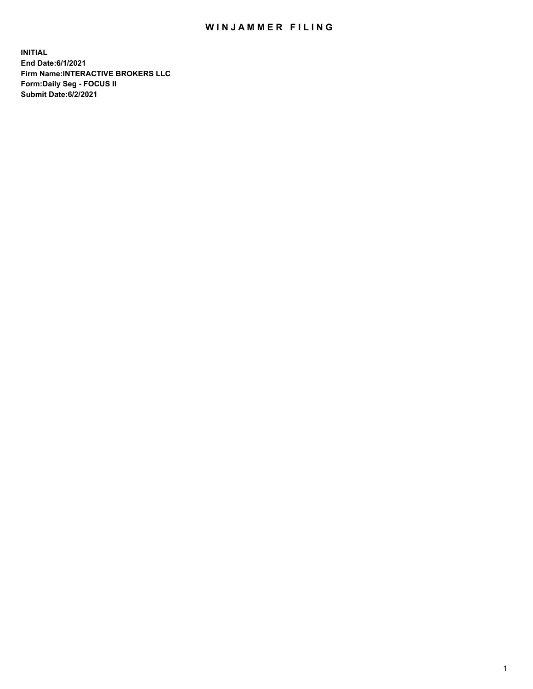## WIN JAMMER FILING

**INITIAL End Date:6/1/2021 Firm Name:INTERACTIVE BROKERS LLC Form:Daily Seg - FOCUS II Submit Date:6/2/2021**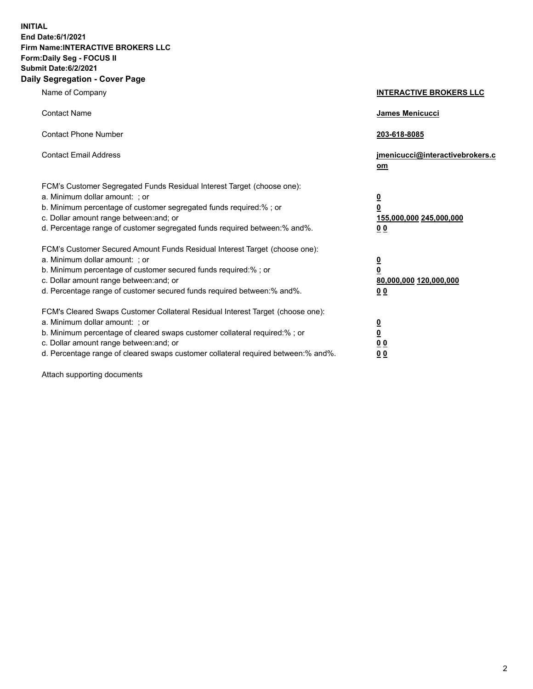**INITIAL End Date:6/1/2021 Firm Name:INTERACTIVE BROKERS LLC Form:Daily Seg - FOCUS II Submit Date:6/2/2021 Daily Segregation - Cover Page**

| Name of Company                                                                                                                                                                                                                                                                                                                | <b>INTERACTIVE BROKERS LLC</b>                                                      |
|--------------------------------------------------------------------------------------------------------------------------------------------------------------------------------------------------------------------------------------------------------------------------------------------------------------------------------|-------------------------------------------------------------------------------------|
| <b>Contact Name</b>                                                                                                                                                                                                                                                                                                            | James Menicucci                                                                     |
| <b>Contact Phone Number</b>                                                                                                                                                                                                                                                                                                    | 203-618-8085                                                                        |
| <b>Contact Email Address</b>                                                                                                                                                                                                                                                                                                   | jmenicucci@interactivebrokers.c<br>om                                               |
| FCM's Customer Segregated Funds Residual Interest Target (choose one):<br>a. Minimum dollar amount: ; or<br>b. Minimum percentage of customer segregated funds required:% ; or<br>c. Dollar amount range between: and; or<br>d. Percentage range of customer segregated funds required between:% and%.                         | $\overline{\mathbf{0}}$<br>$\overline{\mathbf{0}}$<br>155,000,000 245,000,000<br>00 |
| FCM's Customer Secured Amount Funds Residual Interest Target (choose one):<br>a. Minimum dollar amount: : or<br>b. Minimum percentage of customer secured funds required:%; or<br>c. Dollar amount range between: and; or<br>d. Percentage range of customer secured funds required between:% and%.                            | $\frac{0}{0}$<br>80,000,000 120,000,000<br>0 <sub>0</sub>                           |
| FCM's Cleared Swaps Customer Collateral Residual Interest Target (choose one):<br>a. Minimum dollar amount: ; or<br>b. Minimum percentage of cleared swaps customer collateral required:% ; or<br>c. Dollar amount range between: and; or<br>d. Percentage range of cleared swaps customer collateral required between:% and%. | $\frac{0}{0}$<br>0 <sub>0</sub><br>0 <sub>0</sub>                                   |

Attach supporting documents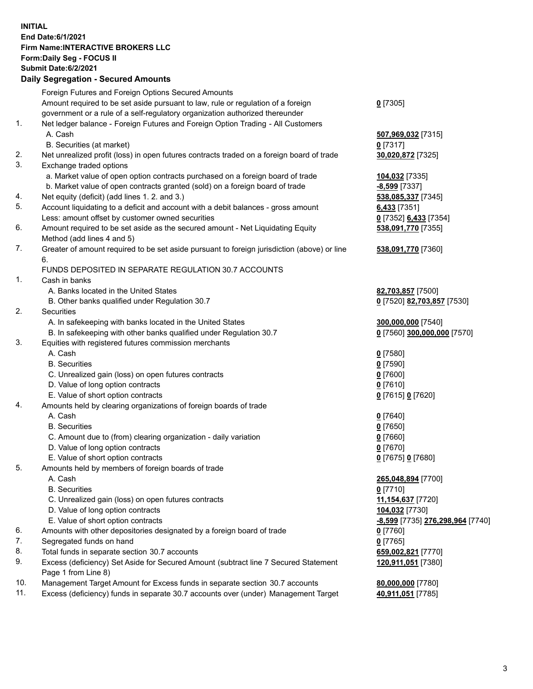## **INITIAL End Date:6/1/2021 Firm Name:INTERACTIVE BROKERS LLC Form:Daily Seg - FOCUS II Submit Date:6/2/2021 Daily Segregation - Secured Amounts**

|                | Dany Ocgregation - Occarea Anioants                                                                |                                  |
|----------------|----------------------------------------------------------------------------------------------------|----------------------------------|
|                | Foreign Futures and Foreign Options Secured Amounts                                                |                                  |
|                | Amount required to be set aside pursuant to law, rule or regulation of a foreign                   | $0$ [7305]                       |
|                | government or a rule of a self-regulatory organization authorized thereunder                       |                                  |
| 1.             | Net ledger balance - Foreign Futures and Foreign Option Trading - All Customers                    |                                  |
|                | A. Cash                                                                                            | 507,969,032 [7315]               |
|                | B. Securities (at market)                                                                          | $0$ [7317]                       |
| 2.             | Net unrealized profit (loss) in open futures contracts traded on a foreign board of trade          | 30,020,872 [7325]                |
| 3.             | Exchange traded options                                                                            |                                  |
|                | a. Market value of open option contracts purchased on a foreign board of trade                     | 104,032 [7335]                   |
|                | b. Market value of open contracts granted (sold) on a foreign board of trade                       | $-8,599$ [7337]                  |
| 4.             | Net equity (deficit) (add lines 1. 2. and 3.)                                                      | 538,085,337 [7345]               |
| 5.             | Account liquidating to a deficit and account with a debit balances - gross amount                  | $6,433$ [7351]                   |
|                | Less: amount offset by customer owned securities                                                   | 0 [7352] 6,433 [7354]            |
| 6.             | Amount required to be set aside as the secured amount - Net Liquidating Equity                     | 538,091,770 [7355]               |
|                | Method (add lines 4 and 5)                                                                         |                                  |
| 7.             | Greater of amount required to be set aside pursuant to foreign jurisdiction (above) or line        | 538,091,770 [7360]               |
|                | 6.                                                                                                 |                                  |
|                | FUNDS DEPOSITED IN SEPARATE REGULATION 30.7 ACCOUNTS                                               |                                  |
| $\mathbf{1}$ . | Cash in banks                                                                                      |                                  |
|                | A. Banks located in the United States                                                              | 82,703,857 [7500]                |
|                | B. Other banks qualified under Regulation 30.7                                                     | 0 [7520] 82,703,857 [7530]       |
| 2.             | Securities                                                                                         |                                  |
|                | A. In safekeeping with banks located in the United States                                          | 300,000,000 [7540]               |
|                | B. In safekeeping with other banks qualified under Regulation 30.7                                 | 0 [7560] 300,000,000 [7570]      |
| 3.             | Equities with registered futures commission merchants                                              |                                  |
|                | A. Cash                                                                                            | $0$ [7580]                       |
|                | <b>B.</b> Securities                                                                               | $0$ [7590]                       |
|                | C. Unrealized gain (loss) on open futures contracts                                                | $0$ [7600]                       |
|                | D. Value of long option contracts                                                                  | $0$ [7610]                       |
|                | E. Value of short option contracts                                                                 | 0 [7615] 0 [7620]                |
| 4.             | Amounts held by clearing organizations of foreign boards of trade                                  |                                  |
|                | A. Cash                                                                                            | $0$ [7640]                       |
|                | <b>B.</b> Securities                                                                               | $0$ [7650]                       |
|                | C. Amount due to (from) clearing organization - daily variation                                    | $0$ [7660]                       |
|                | D. Value of long option contracts                                                                  | $0$ [7670]                       |
|                | E. Value of short option contracts                                                                 | 0 [7675] 0 [7680]                |
| 5.             | Amounts held by members of foreign boards of trade                                                 |                                  |
|                | A. Cash                                                                                            | 265,048,894 [7700]               |
|                | <b>B.</b> Securities                                                                               | $0$ [7710]                       |
|                | C. Unrealized gain (loss) on open futures contracts                                                | 11,154,637 [7720]                |
|                | D. Value of long option contracts                                                                  | 104,032 [7730]                   |
|                | E. Value of short option contracts                                                                 | -8,599 [7735] 276,298,964 [7740] |
| 6.             | Amounts with other depositories designated by a foreign board of trade                             | 0 [7760]                         |
| 7.             | Segregated funds on hand                                                                           | $0$ [7765]                       |
| 8.             | Total funds in separate section 30.7 accounts                                                      | 659,002,821 [7770]               |
| 9.             | Excess (deficiency) Set Aside for Secured Amount (subtract line 7 Secured Statement                | 120,911,051 [7380]               |
| 10.            | Page 1 from Line 8)<br>Management Target Amount for Excess funds in separate section 30.7 accounts |                                  |
| 11.            | Excess (deficiency) funds in separate 30.7 accounts over (under) Management Target                 | 80,000,000 [7780]                |
|                |                                                                                                    | 40,911,051 [7785]                |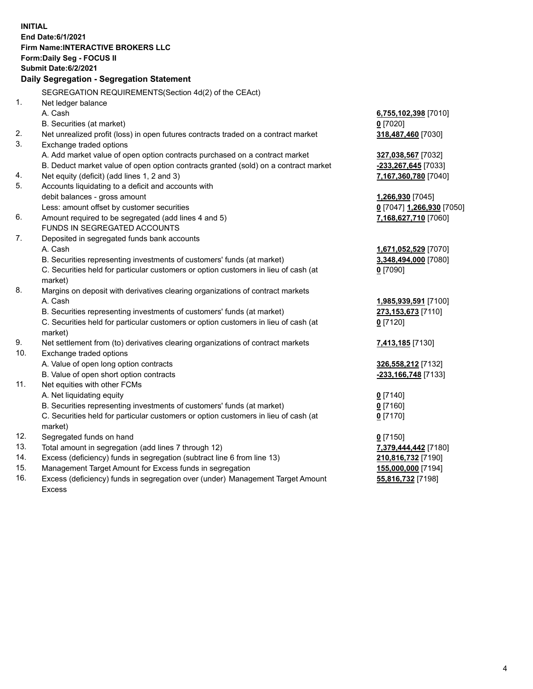**INITIAL End Date:6/1/2021 Firm Name:INTERACTIVE BROKERS LLC Form:Daily Seg - FOCUS II Submit Date:6/2/2021 Daily Segregation - Segregation Statement** SEGREGATION REQUIREMENTS(Section 4d(2) of the CEAct) 1. Net ledger balance A. Cash **6,755,102,398** [7010] B. Securities (at market) **0** [7020] 2. Net unrealized profit (loss) in open futures contracts traded on a contract market **318,487,460** [7030] 3. Exchange traded options A. Add market value of open option contracts purchased on a contract market **327,038,567** [7032] B. Deduct market value of open option contracts granted (sold) on a contract market **-233,267,645** [7033] 4. Net equity (deficit) (add lines 1, 2 and 3) **7,167,360,780** [7040] 5. Accounts liquidating to a deficit and accounts with debit balances - gross amount **1,266,930** [7045] Less: amount offset by customer securities **0** [7047] **1,266,930** [7050] 6. Amount required to be segregated (add lines 4 and 5) **7,168,627,710** [7060] FUNDS IN SEGREGATED ACCOUNTS 7. Deposited in segregated funds bank accounts A. Cash **1,671,052,529** [7070] B. Securities representing investments of customers' funds (at market) **3,348,494,000** [7080] C. Securities held for particular customers or option customers in lieu of cash (at market) **0** [7090] 8. Margins on deposit with derivatives clearing organizations of contract markets A. Cash **1,985,939,591** [7100] B. Securities representing investments of customers' funds (at market) **273,153,673** [7110] C. Securities held for particular customers or option customers in lieu of cash (at market) **0** [7120] 9. Net settlement from (to) derivatives clearing organizations of contract markets **7,413,185** [7130] 10. Exchange traded options A. Value of open long option contracts **326,558,212** [7132] B. Value of open short option contracts **-233,166,748** [7133] 11. Net equities with other FCMs A. Net liquidating equity **0** [7140] B. Securities representing investments of customers' funds (at market) **0** [7160] C. Securities held for particular customers or option customers in lieu of cash (at market) **0** [7170] 12. Segregated funds on hand **0** [7150] 13. Total amount in segregation (add lines 7 through 12) **7,379,444,442** [7180] 14. Excess (deficiency) funds in segregation (subtract line 6 from line 13) **210,816,732** [7190] 15. Management Target Amount for Excess funds in segregation **155,000,000** [7194]

16. Excess (deficiency) funds in segregation over (under) Management Target Amount Excess

**55,816,732** [7198]